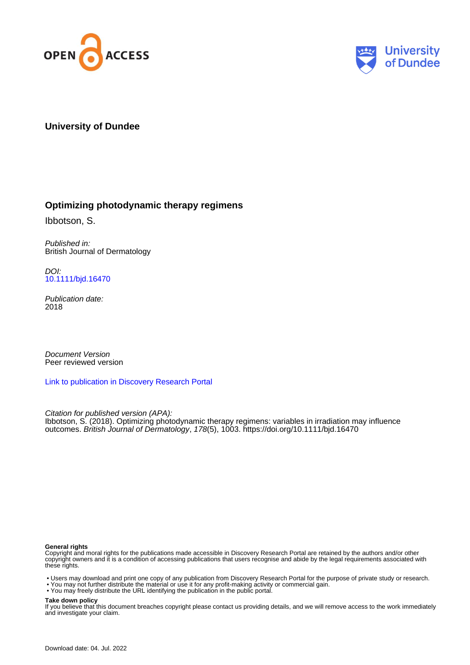



## **University of Dundee**

# **Optimizing photodynamic therapy regimens**

Ibbotson, S.

Published in: British Journal of Dermatology

DOI: [10.1111/bjd.16470](https://doi.org/10.1111/bjd.16470)

Publication date: 2018

Document Version Peer reviewed version

[Link to publication in Discovery Research Portal](https://discovery.dundee.ac.uk/en/publications/9847dc7d-d624-4456-89b3-c807e41d0202)

Citation for published version (APA): Ibbotson, S. (2018). Optimizing photodynamic therapy regimens: variables in irradiation may influence outcomes. British Journal of Dermatology, 178(5), 1003. <https://doi.org/10.1111/bjd.16470>

#### **General rights**

Copyright and moral rights for the publications made accessible in Discovery Research Portal are retained by the authors and/or other copyright owners and it is a condition of accessing publications that users recognise and abide by the legal requirements associated with these rights.

- Users may download and print one copy of any publication from Discovery Research Portal for the purpose of private study or research.
- You may not further distribute the material or use it for any profit-making activity or commercial gain.
- You may freely distribute the URL identifying the publication in the public portal.

#### **Take down policy**

If you believe that this document breaches copyright please contact us providing details, and we will remove access to the work immediately and investigate your claim.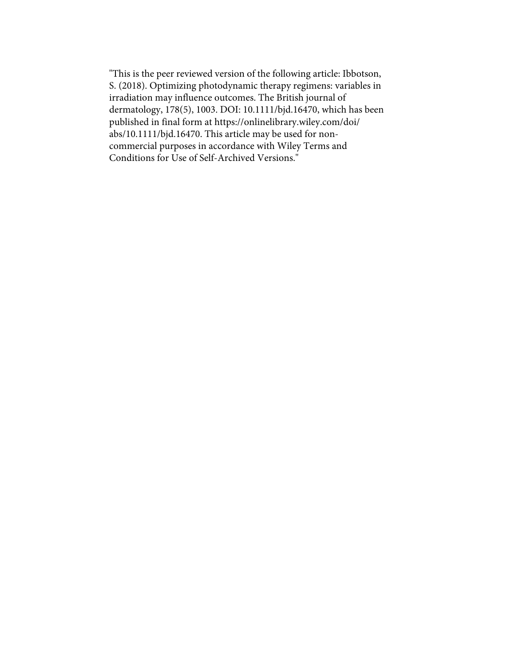"This is the peer reviewed version of the following article: Ibbotson, S. (2018). Optimizing photodynamic therapy regimens: variables in irradiation may influence outcomes. The British journal of dermatology, 178(5), 1003. DOI: 10.1111/bjd.16470, which has been published in final form at https://onlinelibrary.wiley.com/doi/ abs/10.1111/bjd.16470. This article may be used for noncommercial purposes in accordance with Wiley Terms and Conditions for Use of Self-Archived Versions."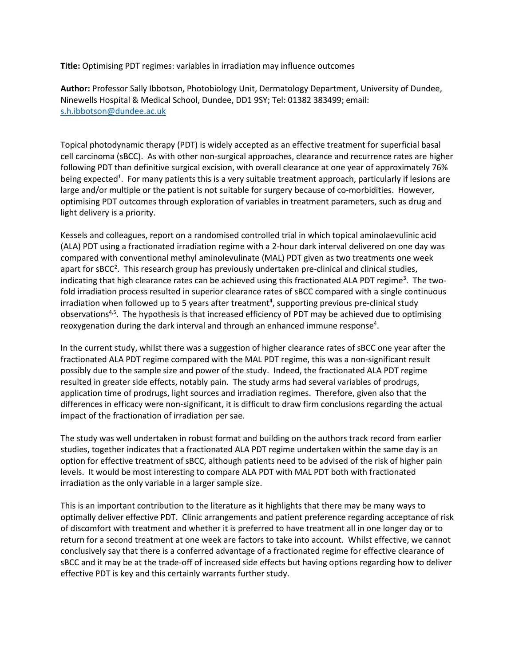**Title:** Optimising PDT regimes: variables in irradiation may influence outcomes

**Author:** Professor Sally Ibbotson, Photobiology Unit, Dermatology Department, University of Dundee, Ninewells Hospital & Medical School, Dundee, DD1 9SY; Tel: 01382 383499; email: [s.h.ibbotson@dundee.ac.uk](mailto:s.h.ibbotson@dundee.ac.uk)

Topical photodynamic therapy (PDT) is widely accepted as an effective treatment for superficial basal cell carcinoma (sBCC). As with other non-surgical approaches, clearance and recurrence rates are higher following PDT than definitive surgical excision, with overall clearance at one year of approximately 76% being expected<sup>1</sup>. For many patients this is a very suitable treatment approach, particularly if lesions are large and/or multiple or the patient is not suitable for surgery because of co-morbidities. However, optimising PDT outcomes through exploration of variables in treatment parameters, such as drug and light delivery is a priority.

Kessels and colleagues, report on a randomised controlled trial in which topical aminolaevulinic acid (ALA) PDT using a fractionated irradiation regime with a 2-hour dark interval delivered on one day was compared with conventional methyl aminolevulinate (MAL) PDT given as two treatments one week apart for sBCC<sup>2</sup>. This research group has previously undertaken pre-clinical and clinical studies, indicating that high clearance rates can be achieved using this fractionated ALA PDT regime<sup>3</sup>. The twofold irradiation process resulted in superior clearance rates of sBCC compared with a single continuous irradiation when followed up to 5 years after treatment<sup>4</sup>, supporting previous pre-clinical study observations<sup>4,5</sup>. The hypothesis is that increased efficiency of PDT may be achieved due to optimising reoxygenation during the dark interval and through an enhanced immune response<sup>4</sup>.

In the current study, whilst there was a suggestion of higher clearance rates of sBCC one year after the fractionated ALA PDT regime compared with the MAL PDT regime, this was a non-significant result possibly due to the sample size and power of the study. Indeed, the fractionated ALA PDT regime resulted in greater side effects, notably pain. The study arms had several variables of prodrugs, application time of prodrugs, light sources and irradiation regimes. Therefore, given also that the differences in efficacy were non-significant, it is difficult to draw firm conclusions regarding the actual impact of the fractionation of irradiation per sae.

The study was well undertaken in robust format and building on the authors track record from earlier studies, together indicates that a fractionated ALA PDT regime undertaken within the same day is an option for effective treatment of sBCC, although patients need to be advised of the risk of higher pain levels. It would be most interesting to compare ALA PDT with MAL PDT both with fractionated irradiation as the only variable in a larger sample size.

This is an important contribution to the literature as it highlights that there may be many ways to optimally deliver effective PDT. Clinic arrangements and patient preference regarding acceptance of risk of discomfort with treatment and whether it is preferred to have treatment all in one longer day or to return for a second treatment at one week are factors to take into account. Whilst effective, we cannot conclusively say that there is a conferred advantage of a fractionated regime for effective clearance of sBCC and it may be at the trade-off of increased side effects but having options regarding how to deliver effective PDT is key and this certainly warrants further study.